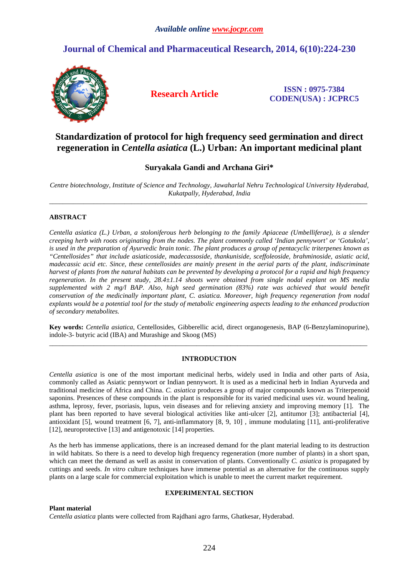# **Journal of Chemical and Pharmaceutical Research, 2014, 6(10):224-230**



**Research Article ISSN : 0975-7384 CODEN(USA) : JCPRC5**

# **Standardization of protocol for high frequency seed germination and direct regeneration in** *Centella asiatica* **(L.) Urban: An important medicinal plant**

# **Suryakala Gandi and Archana Giri\***

*Centre biotechnology, Institute of Science and Technology, Jawaharlal Nehru Technological University Hyderabad, Kukatpally, Hyderabad, India*   $\overline{a}$  , and the contribution of the contribution of the contribution of the contribution of the contribution of the contribution of the contribution of the contribution of the contribution of the contribution of the co

## **ABSTRACT**

*Centella asiatica (L.) Urban, a stoloniferous herb belonging to the family Apiaceae (Umbelliferae), is a slender creeping herb with roots originating from the nodes. The plant commonly called 'Indian pennywort' or 'Gotukola', is used in the preparation of Ayurvedic brain tonic. The plant produces a group of pentacyclic triterpenes known as "Centellosides" that include asiaticoside, madecassoside, thankuniside, sceffoleoside, brahminoside, asiatic acid, madecassic acid etc. Since, these centellosides are mainly present in the aerial parts of the plant, indiscriminate harvest of plants from the natural habitats can be prevented by developing a protocol for a rapid and high frequency regeneration. In the present study, 28.4±1.14 shoots were obtained from single nodal explant on MS media supplemented with 2 mg/l BAP. Also, high seed germination (83%) rate was achieved that would benefit conservation of the medicinally important plant, C. asiatica. Moreover, high frequency regeneration from nodal explants would be a potential tool for the study of metabolic engineering aspects leading to the enhanced production of secondary metabolites.* 

**Key words:** *Centella asiatica*, Centellosides, Gibberellic acid, direct organogenesis, BAP (6-Benzylaminopurine), indole-3- butyric acid (IBA) and Murashige and Skoog (MS) \_\_\_\_\_\_\_\_\_\_\_\_\_\_\_\_\_\_\_\_\_\_\_\_\_\_\_\_\_\_\_\_\_\_\_\_\_\_\_\_\_\_\_\_\_\_\_\_\_\_\_\_\_\_\_\_\_\_\_\_\_\_\_\_\_\_\_\_\_\_\_\_\_\_\_\_\_\_\_\_\_\_\_\_\_\_\_\_\_\_\_\_\_

## **INTRODUCTION**

*Centella asiatica* is one of the most important medicinal herbs, widely used in India and other parts of Asia, commonly called as Asiatic pennywort or Indian pennywort. It is used as a medicinal herb in Indian Ayurveda and traditional medicine of Africa and China. *C. asiatica* produces a group of major compounds known as Triterpenoid saponins. Presences of these compounds in the plant is responsible for its varied medicinal uses *viz*. wound healing, asthma, leprosy, fever, psoriasis, lupus, vein diseases and for relieving anxiety and improving memory [1]. The plant has been reported to have several biological activities like anti-ulcer [2], antitumor [3]; antibacterial [4], antioxidant [5], wound treatment [6, 7], anti-inflammatory [8, 9, 10] , immune modulating [11], anti-proliferative [12], neuroprotective [13] and antigenotoxic [14] properties.

As the herb has immense applications, there is an increased demand for the plant material leading to its destruction in wild habitats. So there is a need to develop high frequency regeneration (more number of plants) in a short span, which can meet the demand as well as assist in conservation of plants. Conventionally *C. asiatica* is propagated by cuttings and seeds. *In vitro* culture techniques have immense potential as an alternative for the continuous supply plants on a large scale for commercial exploitation which is unable to meet the current market requirement.

## **EXPERIMENTAL SECTION**

## **Plant material**

*Centella asiatica* plants were collected from Rajdhani agro farms, Ghatkesar, Hyderabad.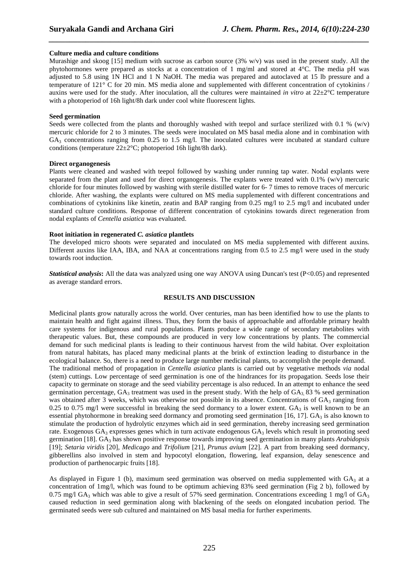## **Culture media and culture conditions**

Murashige and skoog [15] medium with sucrose as carbon source  $(3\% \text{ w/v})$  was used in the present study. All the phytohormones were prepared as stocks at a concentration of 1 mg/ml and stored at 4°C. The media pH was adjusted to 5.8 using 1N HCl and 1 N NaOH. The media was prepared and autoclaved at 15 lb pressure and a temperature of 121° C for 20 min. MS media alone and supplemented with different concentration of cytokinins / auxins were used for the study. After inoculation, all the cultures were maintained *in vitro* at 22±2°C temperature with a photoperiod of 16h light/8h dark under cool white fluorescent lights.

*\_\_\_\_\_\_\_\_\_\_\_\_\_\_\_\_\_\_\_\_\_\_\_\_\_\_\_\_\_\_\_\_\_\_\_\_\_\_\_\_\_\_\_\_\_\_\_\_\_\_\_\_\_\_\_\_\_\_\_\_\_\_\_\_\_\_\_\_\_\_\_\_\_\_\_\_\_\_*

#### **Seed germination**

Seeds were collected from the plants and thoroughly washed with teepol and surface sterilized with 0.1 % ( $w/v$ ) mercuric chloride for 2 to 3 minutes. The seeds were inoculated on MS basal media alone and in combination with  $GA_3$  concentrations ranging from 0.25 to 1.5 mg/l. The inoculated cultures were incubated at standard culture conditions (temperature  $22 \pm 2^{\circ}\text{C}$ ; photoperiod 16h light/8h dark).

#### **Direct organogenesis**

Plants were cleaned and washed with teepol followed by washing under running tap water. Nodal explants were separated from the plant and used for direct organogenesis. The explants were treated with 0.1% (w/v) mercuric chloride for four minutes followed by washing with sterile distilled water for 6- 7 times to remove traces of mercuric chloride. After washing, the explants were cultured on MS media supplemented with different concentrations and combinations of cytokinins like kinetin, zeatin and BAP ranging from 0.25 mg/l to 2.5 mg/l and incubated under standard culture conditions. Response of different concentration of cytokinins towards direct regeneration from nodal explants of *Centella asiatica* was evaluated.

#### **Root initiation in regenerated** *C. asiatica* **plantlets**

The developed micro shoots were separated and inoculated on MS media supplemented with different auxins. Different auxins like IAA, IBA, and NAA at concentrations ranging from 0.5 to 2.5 mg/l were used in the study towards root induction.

*Statistical analysis*: All the data was analyzed using one way ANOVA using Duncan's test (P<0.05) and represented as average standard errors.

## **RESULTS AND DISCUSSION**

Medicinal plants grow naturally across the world. Over centuries, man has been identified how to use the plants to maintain health and fight against illness. Thus, they form the basis of approachable and affordable primary health care systems for indigenous and rural populations. Plants produce a wide range of secondary metabolites with therapeutic values. But, these compounds are produced in very low concentrations by plants. The commercial demand for such medicinal plants is leading to their continuous harvest from the wild habitat. Over exploitation from natural habitats, has placed many medicinal plants at the brink of extinction leading to disturbance in the ecological balance. So, there is a need to produce large number medicinal plants, to accomplish the people demand. The traditional method of propagation in *Centella asiatica* plants is carried out by vegetative methods *via* nodal (stem) cuttings. Low percentage of seed germination is one of the hindrances for its propagation. Seeds lose their capacity to germinate on storage and the seed viability percentage is also reduced. In an attempt to enhance the seed germination percentage,  $GA_3$  treatment was used in the present study. With the help of  $GA_3$  83 % seed germination was obtained after 3 weeks, which was otherwise not possible in its absence. Concentrations of  $GA_3$  ranging from 0.25 to 0.75 mg/l were successful in breaking the seed dormancy to a lower extent.  $GA_3$  is well known to be an essential phytohormone in breaking seed dormancy and promoting seed germination [16, 17]. GA<sub>3</sub> is also known to stimulate the production of hydrolytic enzymes which aid in seed germination, thereby increasing seed germination rate. Exogenous GA<sub>3</sub> expresses genes which in turn activate endogenous GA<sub>3</sub> levels which result in promoting seed germination [18]. GA<sub>3</sub> has shown positive response towards improving seed germination in many plants *Arabidopsis* [19]; *Setaria viridis* [20], *Medicago* and *Trifolium* [21], *Prunus avium* [22]. A part from breaking seed dormancy, gibberellins also involved in stem and hypocotyl elongation, flowering, leaf expansion, delay senescence and production of parthenocarpic fruits [18].

As displayed in Figure 1 (b), maximum seed germination was observed on media supplemented with  $GA_3$  at a concentration of 1mg/l, which was found to be optimum achieving 83% seed germination (Fig 2 b), followed by 0.75 mg/l GA<sub>3</sub> which was able to give a result of 57% seed germination. Concentrations exceeding 1 mg/l of GA<sub>3</sub> caused reduction in seed germination along with blackening of the seeds on elongated incubation period. The germinated seeds were sub cultured and maintained on MS basal media for further experiments.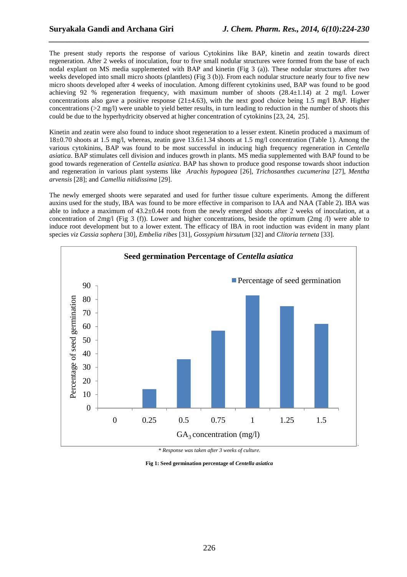The present study reports the response of various Cytokinins like BAP, kinetin and zeatin towards direct regeneration. After 2 weeks of inoculation, four to five small nodular structures were formed from the base of each nodal explant on MS media supplemented with BAP and kinetin (Fig 3 (a)). These nodular structures after two weeks developed into small micro shoots (plantlets) (Fig 3 (b)). From each nodular structure nearly four to five new micro shoots developed after 4 weeks of inoculation. Among different cytokinins used, BAP was found to be good achieving 92 % regeneration frequency, with maximum number of shoots (28.4±1.14) at 2 mg/l. Lower concentrations also gave a positive response  $(21\pm 4.63)$ , with the next good choice being 1.5 mg/l BAP. Higher concentrations (>2 mg/l) were unable to yield better results, in turn leading to reduction in the number of shoots this could be due to the hyperhydricity observed at higher concentration of cytokinins [23, 24, 25].

*\_\_\_\_\_\_\_\_\_\_\_\_\_\_\_\_\_\_\_\_\_\_\_\_\_\_\_\_\_\_\_\_\_\_\_\_\_\_\_\_\_\_\_\_\_\_\_\_\_\_\_\_\_\_\_\_\_\_\_\_\_\_\_\_\_\_\_\_\_\_\_\_\_\_\_\_\_\_*

Kinetin and zeatin were also found to induce shoot regeneration to a lesser extent. Kinetin produced a maximum of 18±0.70 shoots at 1.5 mg/l, whereas, zeatin gave 13.6±1.34 shoots at 1.5 mg/l concentration (Table 1). Among the various cytokinins, BAP was found to be most successful in inducing high frequency regeneration in *Centella asiatica*. BAP stimulates cell division and induces growth in plants. MS media supplemented with BAP found to be good towards regeneration of *Centella asiatica*. BAP has shown to produce good response towards shoot induction and regeneration in various plant systems like *Arachis hypogaea* [26], *Trichosanthes cucumerina* [27], *Mentha arvensis* [28]; and *Camellia nitidissima* [29].

The newly emerged shoots were separated and used for further tissue culture experiments. Among the different auxins used for the study, IBA was found to be more effective in comparison to IAA and NAA (Table 2). IBA was able to induce a maximum of 43.2±0.44 roots from the newly emerged shoots after 2 weeks of inoculation, at a concentration of 2mg/l (Fig 3 (f)). Lower and higher concentrations, beside the optimum (2mg /l) were able to induce root development but to a lower extent. The efficacy of IBA in root induction was evident in many plant species *viz Cassia sophera* [30], *Embelia ribes* [31], *Gossypium hirsutum* [32] and *Clitoria terneta* [33].



*\* Response was taken after 3 weeks of culture.* 

**Fig 1: Seed germination percentage of** *Centella asiatica*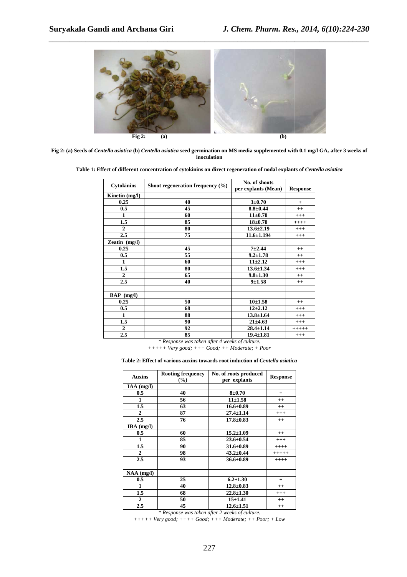

**Fig 2: (a) Seeds of** *Centella asiatica* **(b)** *Centella asiatica* **seed germination on MS media supplemented with with 0.1 mg/l GA3 after 3 weeks of inoculation** 

Table 1: Effect of different concentration of cytokinins on direct regeneration of nodal explants of *Centella asiatica* 

| <b>Cytokinins</b>           | Shoot regeneration frequency $(\% )$ | No. of shoots<br>per explants (Mean) | <b>Response</b> |
|-----------------------------|--------------------------------------|--------------------------------------|-----------------|
| Kinetin (mg/l)              |                                      |                                      |                 |
| 0.25                        | 40                                   | $3 + 0.70$                           | $+$             |
| 0.5                         | 45                                   | $8.8 + 0.44$                         | $++$            |
| 1                           | 60                                   | $11\pm0.70$                          | $^{+++}$        |
| 1.5                         | 85                                   | $18 + 0.70$                          | $+++++$         |
| $\mathbf{2}$                | 80                                   | $13.6 \pm 2.19$                      | $^{+++}$        |
| 2.5                         | 75                                   | $11.6 \pm 1.194$                     | $^{+++}$        |
| $\overline{Z}$ eatin (mg/l) |                                      |                                      |                 |
| 0.25                        | 45                                   | $7 + 2.44$                           | $++$            |
| 0.5                         | 55                                   | $9.2 \pm 1.78$                       | $++$            |
| 1                           | 60                                   | $11 + 2.12$                          | $^{+++}$        |
| 1.5                         | 80                                   | $13.6 \pm 1.34$                      | $+++$           |
| $\overline{2}$              | 65                                   | $9.8 \pm 1.30$                       | $^{++}$         |
| 2.5                         | 40                                   | $9 + 1.58$                           | $++$            |
|                             |                                      |                                      |                 |
| $BAP$ (mg/l)                |                                      |                                      |                 |
| 0.25                        | 50                                   | $10 + 1.58$                          | $++$            |
| 0.5                         | 68                                   | $12 + 2.12$                          | $+++$           |
| 1                           | 88                                   | $13.8 \pm 1.64$                      | $^{+++}$        |
| 1.5                         | 90                                   | $21 \pm 4.63$                        | $+++$           |
| $\boldsymbol{2}$            | 92                                   | $28.4 \pm 1.14$                      | $+++++$         |
| 2.5                         | 85                                   | $19.4 \pm 1.81$                      | $+++$           |

*\* Response was taken after 4 weeks of culture.* 

*+++++ Very good; +++ Good; ++ Moderate; + Poor* 

#### Table 2: Effect of various auxins towards root induction of *Centella asiatica*

| <b>Auxins</b> | <b>Rooting frequency</b><br>$(\%)$ | No. of roots produced<br>per explants | <b>Response</b> |
|---------------|------------------------------------|---------------------------------------|-----------------|
| $IAA$ (mg/l)  |                                    |                                       |                 |
| 0.5           | 40                                 | $8 + 0.70$                            | $^{+}$          |
| 1             | 56                                 | $11 + 1.58$                           | $^{++}$         |
| 1.5           | 63                                 | $16.6 \pm 0.89$                       | $++$            |
| 2             | 87                                 | $27.4 \pm 1.14$                       | $+++$           |
| 2.5           | 76                                 | $17.8 \pm 0.83$                       | $^{++}$         |
| $IBA$ (mg/l)  |                                    |                                       |                 |
| 0.5           | 60                                 | $15.2 \pm 1.09$                       | $^{++}$         |
| 1             | 85                                 | $23.6 \pm 0.54$                       | $^{+++}$        |
| 1.5           | 90                                 | $31.6 \pm 0.89$                       | $++++$          |
| $\mathbf{2}$  | 98                                 | $43.2 \pm 0.44$                       | $+++++$         |
| 2.5           | 93                                 | $36.6 \pm 0.89$                       | $++++$          |
|               |                                    |                                       |                 |
| NAA (mg/l)    |                                    |                                       |                 |
| 0.5           | 25                                 | $6.2 \pm 1.30$                        | $^{+}$          |
| 1             | 40                                 | $12.8 \pm 0.83$                       | $^{++}$         |
| 1.5           | 68                                 | $22.8 \pm 1.30$                       | $^{+++}$        |
| $\mathbf{2}$  | 50                                 | $15 + 1.41$                           | $++$            |
| 2.5           | 45                                 | $12.6 \pm 1.51$                       | $^{++}$         |

*\* Response was taken after 2 weeks of culture.* 

*+++++ Very good good; ++++ Good; +++ Moderate; ++ Poor; + Low*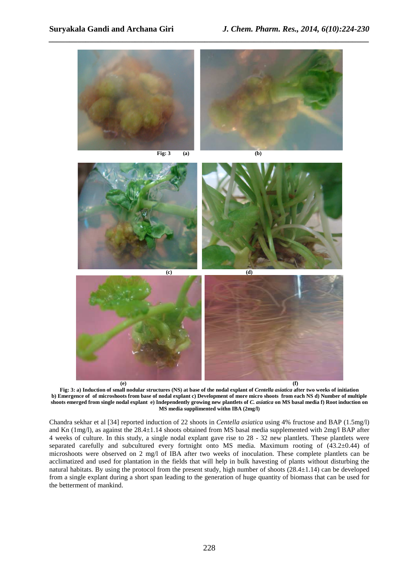

*\_\_\_\_\_\_\_\_\_\_\_\_\_\_\_\_\_\_\_\_\_\_\_\_\_\_\_\_\_\_\_\_\_\_\_\_\_\_\_\_\_\_\_\_\_\_\_\_\_\_\_\_\_\_\_\_\_\_\_\_\_\_\_\_\_\_\_\_\_\_\_\_\_\_\_\_\_\_*

Fig: 3: a) Induction of small nodular structures (NS) at base of the nodal explant of *Centella asiatica* after two weeks of initiation **b) Emergence of of microshoots from base of nodal explant c) Development of more micro shoots from each NS d) Number of multiple**  shoots emerged from single nodal explant e) Independently growing new plantlets of *C. asiatica* on MS basal media f) Root induction on **MS media supplimented withn IBA (2mg/l)** 

Chandra sekhar et al [34] reported induction of 22 shoots in *Centella asiatica* using 4% fructose and BAP (1.5mg/l) and Kn (1mg/l), as against the 28.4±1.14 shoots obtained from MS basal media supplemented with 2mg/l BAP after 4 weeks of culture. In this study, a single nodal explant gave rise to 28 - 32 new plantlets. These plantlets were separated carefully and subcultured every fortnight onto MS media. Maximum rooting of  $(43.2\pm0.44)$  of microshoots were observed on 2 mg/l of IBA after two weeks of inoculation. These complete plantlets can be acclimatized and used for plantation in the fields that will help in bulk havesting of plants without disturbing the natural habitats. By using the protocol from the present study, high number of shoots (28.4±1.14) can be developed from a single explant during a short span leading to the generation of huge quantity of biomass that can be used for the betterment of mankind.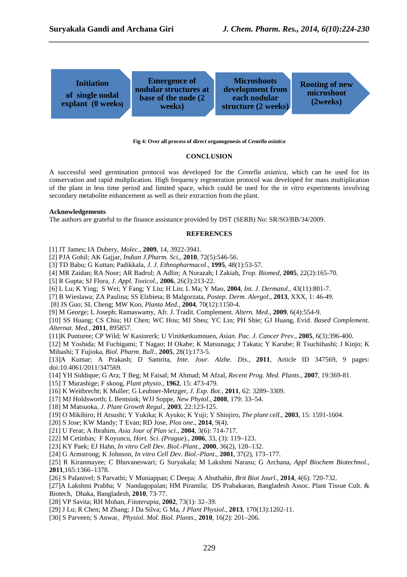

*\_\_\_\_\_\_\_\_\_\_\_\_\_\_\_\_\_\_\_\_\_\_\_\_\_\_\_\_\_\_\_\_\_\_\_\_\_\_\_\_\_\_\_\_\_\_\_\_\_\_\_\_\_\_\_\_\_\_\_\_\_\_\_\_\_\_\_\_\_\_\_\_\_\_\_\_\_\_*

#### **Fig 4: Over all process of direct organogenesis of** *Centella asiatica*

#### **CONCLUSION**

A successful seed germination protocol was developed for the *Centella asiatica*, which can be used for its conservation and rapid multplication*.* High frequency regeneration protocol was developed for mass multiplication of the plant in less time period and limited space, which could be used for the *in vitro* experiments involving secondary metabolite enhancement as well as their extraction from the plant.

#### **Acknowledgements**

The authors are grateful to the finance assistance provided by DST (SERB) No: SR/SO/BB/34/2009.

#### **REFERENCES**

[1] JT James; IA Dubery, *Molec*., **2009**, 14, 3922-3941.

- [2] PJA Gohil; AK Gajjar, *Indian J.Pharm. Sci,,* **2010**, 72(5):546-56.
- [3] TD Babu; G Kuttan; Padikkala, *J. J. Ethnopharmacol*., **1995**, 48(1):53-57.
- [4] MR Zaidan; RA Noor; AR Badrul; A Adlin; A Norazah; I Zakiah, *Trop. Biomed*, **2005**, 22(2):165-70.
- [5] R Gupta; SJ Flora, *J. Appl. Toxicol*., **2006**, 26(3):213-22.
- [6] L Lu; K Ying; S Wei; Y Fang; Y Liu; H Lin; L Ma; Y Mao, **2004**, *Int. J. Dermatol*., 43(11):801-7.
- [7] B Wieslawa; ZA Paulina; SS Elzbieta; B Malgorzata, *Postep. Derm. Alergol*., **2013**, XXX, 1: 46-49.
- [8] JS Guo; SL Cheng; MW Koo, *Planta Med*., **2004**, 70(12):1150-4.

[9] M George; L Joseph; Ramaswamy, Afr. J. Tradit. Complement. *Altern. Med*., **2009**, 6(4):554-9.

[10] SS Huang; CS Chiu; HJ Chen; WC Hou; MJ Sheu; YC Lin; PH Shie; GJ Huang, Evid. *Based Complement. Alternat. Med.*, **2011**, 895857.

[11]K Punturee; CP Wild; W Kasinrerk; U Vinitketkumnuen, *Asian. Pac. J. Cancer Prev*., **2005**, 6(3):396-400.

[12] M Yoshida; M Fuchigami; T Nagao; H Okabe; K Matsunaga; J Takata; Y Karube; R Tsuchihashi; J Kinjo; K Mihashi; T Fujioka, *Biol. Pharm. Bull.,* **2005**, 28(1):173-5.

[13]A Kumar; A Prakash; D Samrita, *Inte. Jour. Alzhe. Dis.,* **2011**, Article ID 347569, 9 pages: doi:10.4061/2011/347569.

- [14] YH Siddique; G Ara; T Beg; M Faisal; M Ahmad; M Afzal, *Recent Prog. Med. Plants*., **2007**, 19:369-81.
- [15] T Murashige; F skoog, *Plant physio*., **1962**, 15: 473-479.
- [16] K Weitbrecht; K Muller; G Leubner-Metzger, *J. Exp. Bot.,* **2011**, 62: 3289–3309.
- [17] MJ Holdsworth; L Bentsink; WJJ Soppe, *New Phytol*., **2008**, 179: 33–54.
- [18] M Matsuoka, *J. Plant Growth Regul*., **2003**, 22:123-125.
- [19] O Mikihiro; H Atsushi; Y Yukika; K Ayuko; K Yuji; Y Shinjiro, *The plant cell*., **2003**, 15: 1591-1604.
- [20] S Jose; KW Mandy; T Evan; RD Jose, *Plos one*., **2014**, 9(4).
- [21] U Ferat; A Ibrahim, *Asia Jour of Plan sci*., **2004**, 3(6): 714-717.
- [22] M Cetinbas; F Koyuncu, *Hort. Sci. (Prague*)., **2006**, 33, (3): 119–123.
- [23] KY Paek; EJ Hahn, *In vitro Cell Dev. Biol.-Plant*., **2000**, 36(2), 128–132.

[24] G Armstrong; K Johnson, *In vitro Cell Dev. Biol.-Plant*., **2001**, 37(2), 173–177.

[25] R Kiranmayee; C Bhuvaneswari; G Suryakala; M Lakshmi Narasu; G Archana, *Appl Biochem Biotechnol*., **2011**,165:1366–1378.

[26] S Palanivel; S Parvathi; V Muniappan; C Deepa; A Abuthahir, *Brit Biot Jourl*., **2014**, 4(6): 720-732.

- [27]A Lakshmi Prabha; V Nandagopalan; HM Piramila; DS Prabakaran, Bangladesh Assoc. Plant Tissue Cult. & Biotech, Dhaka, Bangladesh, **2010**, 73‐77.
- [28] VP Savita; RH Mohan, *Fitoterapia*, **2002**, 73(1): 32–39.
- [29] J Lu; R Chen; M Zhang; J Da Silva; G Ma, *J Plant Physiol*., **2013**, 170(13):1202-11.
- [30] S Parveen; S Anwar, *Physiol. Mol. Biol. Plants*., **2010**, 16(2): 201–206.